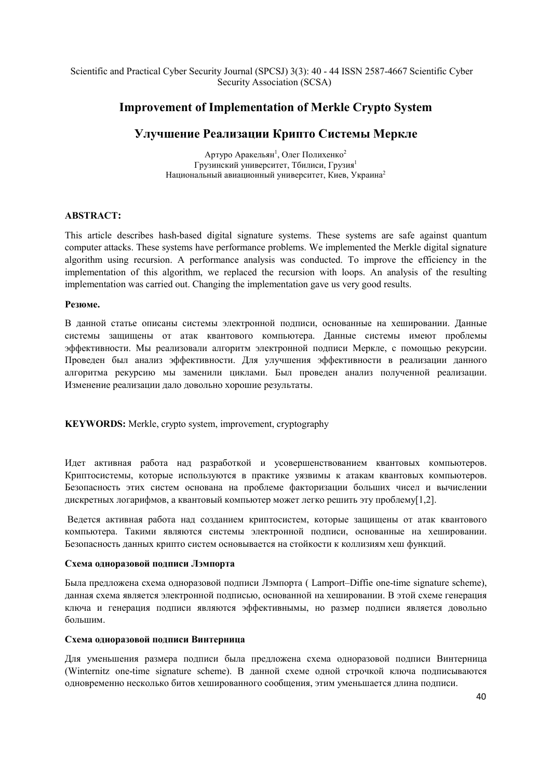# Improvement of Implementation of Merkle Crypto System

# Улучшение Реализации Крипто Системы Меркле

Артуро Аракельян<sup>1</sup>, Олег Полихенко<sup>2</sup> Грузинский университет, Тбилиси, Грузия<sup>1</sup> Национальный авиационный университет, Киев, Украина<sup>2</sup>

# ABSTRACT:

This article describes hash-based digital signature systems. These systems are safe against quantum computer attacks. These systems have performance problems. We implemented the Merkle digital signature algorithm using recursion. A performance analysis was conducted. To improve the efficiency in the implementation of this algorithm, we replaced the recursion with loops. An analysis of the resulting implementation was carried out. Changing the implementation gave us very good results.

# Резюме.

В данной статье описаны системы электронной подписи, основанные на хешировании. Данные системы защищены от атак квантового компьютера. Данные системы имеют проблемы эффективности. Мы реализовали алгоритм электронной подписи Меркле, с помощью рекурсии. Проведен был анализ эффективности. Для улучшения эффективности в реализации данного алгоритма рекурсию мы заменили циклами. Был проведен анализ полученной реализации. Изменение реализации дало довольно хорошие результаты.

KEYWORDS: Merkle, crypto system, improvement, cryptography

Идет активная работа над разработкой и усовершенствованием квантовых компьютеров. Криптосистемы, которые используются в практике уязвимы к атакам квантовых компьютеров. Безопасность этих систем основана на проблеме факторизации больших чисел и вычислении дискретных логарифмов, а квантовый компьютер может легко решить эту проблему[1,2].

Ведется активная работа над созданием криптосистем, которые защищены от атак квантового компьютера. Такими являются системы электронной подписи, основанные на хешировании. Безопасность данных крипто систем основывается на стойкости к коллизиям хеш функций.

#### Схема одноразовой подписи Лэмпорта

Была предложена схема одноразовой подписи Лэмпорта ( Lamport–Diffie one-time signature scheme), данная схема является электронной подписью, основанной на хешировании. В этой схеме генерация ключа и генерация подписи являются эффективнымы, но размер подписи является довольно большим.

#### Схема одноразовой подписи Винтерница

Для уменьшения размера подписи была предложена схема одноразовой подписи Винтерница (Winternitz one-time signature scheme). В данной схеме одной строчкой ключа подписываются одновременно несколько битов хешированного сообщения, этим уменьшается длина подписи.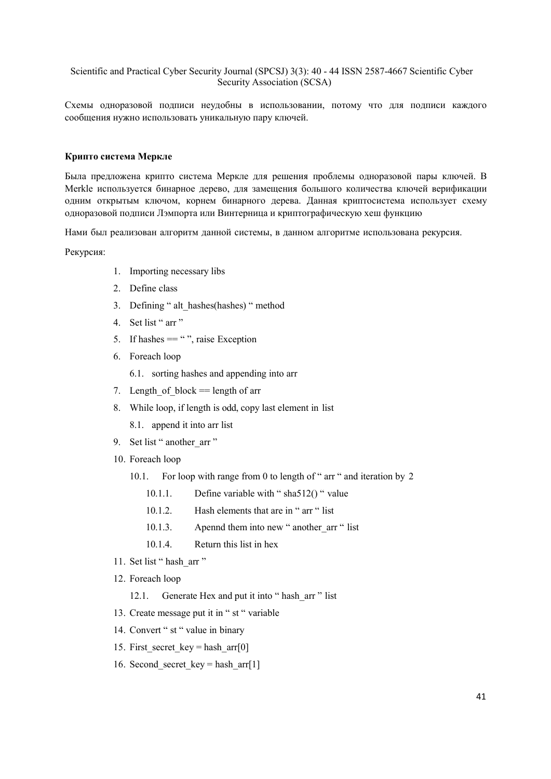Схемы одноразовой подписи неудобны в использовании, потому что для подписи каждого сообщения нужно использовать уникальную пару ключей.

# Крипто система Меркле

Была предложена крипто система Меркле для решения проблемы одноразовой пары ключей. В Merkle используется бинарное дерево, для замещения большого количества ключей верификации одним открытым ключом, корнем бинарного дерева. Данная криптосистема использует схему одноразовой подписи Лэмпорта или Винтерница и криптографическую хеш функцию

Нами был реализован алгоритм данной системы, в данном алгоритме использована рекурсия.

Рекурсия:

- 1. Importing necessary libs
- 2. Define class
- 3. Defining "alt hashes(hashes) "method
- 4. Set list "arr"
- 5. If hashes  $==$  "", raise Exception
- 6. Foreach loop
	- 6.1. sorting hashes and appending into arr
- 7. Length of block  $=$  length of arr
- 8. While loop, if length is odd, copy last element in list
	- 8.1. append it into arr list
- 9. Set list "another arr"
- 10. Foreach loop
	- For loop with range from 0 to length of " arr " and iteration by 2  $10.1.$ 
		- Define variable with " $sha512()$ " value  $1011$
		- Hash elements that are in " arr " list  $10.1.2.$
		- $10.1.3.$ Apennd them into new "another arr " list
		- $1014$ Return this list in hex
- 11. Set list " hash arr "
- 12. Foreach loop
	- 12.1. Generate Hex and put it into "hash arr " list
- 13. Create message put it in "st " variable
- 14. Convert " st " value in binary
- 15. First secret key = hash arr $[0]$
- 16. Second secret key = hash  $\arctan 11$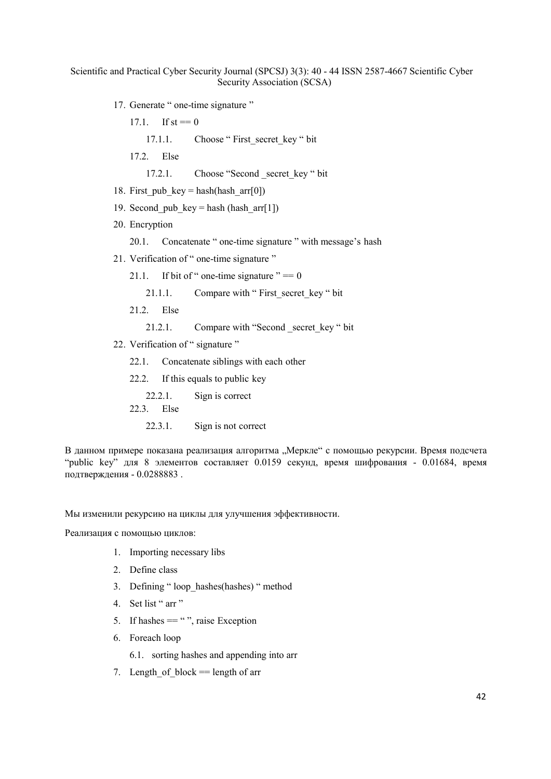- 17. Generate " one-time signature "
	- 17.1. If  $st == 0$ 
		- 17.1.1. Choose " First secret key " bit
	- 17.2. Else
		- 17.2.1. Choose "Second secret key " bit
- 18. First pub  $key = hash(hash arr[0])$
- 19. Second pub key = hash (hash  $arr[1]$ )
- 20. Encryption

20.1. Concatenate " one-time signature " with message's hash

- 21. Verification of " one-time signature "
	- 21.1. If bit of " one-time signature "  $= 0$ 
		- 21.1.1. Compare with "First secret key " bit
	- 21.2. Else
		- 21.2.1. Compare with "Second secret key " bit
- 22. Verification of " signature "
	- 22.1. Concatenate siblings with each other
	- 22.2. If this equals to public key
		- 22.2.1. Sign is correct
	- 22.3. Else
		- 22.3.1. Sign is not correct

В данном примере показана реализация алгоритма "Меркле" с помощью рекурсии. Время подсчета "public key" для 8 элементов составляет 0.0159 секунд, время шифрования - 0.01684, время подтверждения - 0.0288883 .

Мы изменили рекурсию на циклы для улучшения эффективности.

Реализация с помощью циклов:

- 1. Importing necessary libs
- 2. Define class
- 3. Defining " loop\_hashes(hashes) " method
- 4. Set list " arr "
- 5. If hashes  $=$  "", raise Exception
- 6. Foreach loop
	- 6.1. sorting hashes and appending into arr
- 7. Length of block  $=$  length of arr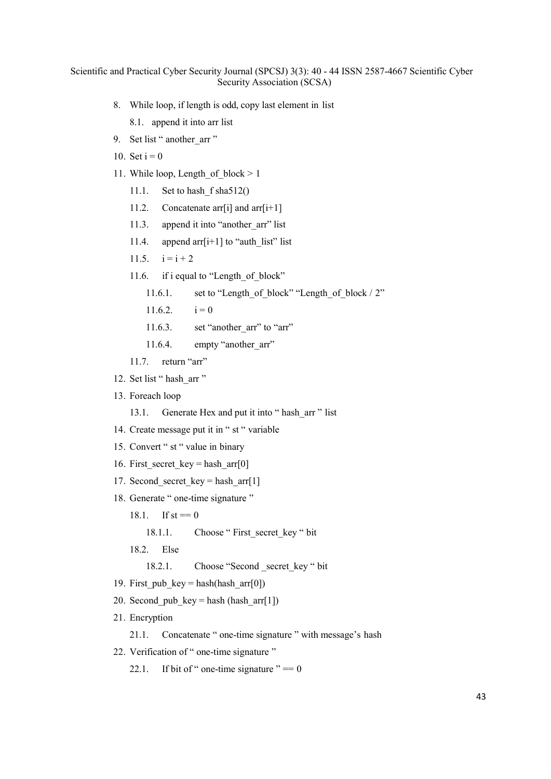- 8. While loop, if length is odd, copy last element in list
	- 8.1. append it into arr list
- 9. Set list " another arr "
- 10. Set  $i = 0$
- 11. While loop, Length of block  $> 1$ 
	- 11.1. Set to hash f sha512()
	- 11.2. Concatenate arr[i] and  $\arctan[i+1]$
	- 11.3. append it into "another arr" list
	- 11.4. append arr[i+1] to "auth list" list
	- 11.5.  $i = i + 2$
	- 11.6. if i equal to "Length of block"
		- 11.6.1. set to "Length of block" "Length of block / 2"
		- $11.6.2.$   $i = 0$
		- 11.6.3. set "another arr" to "arr"
		- 11.6.4. empty "another arr"
	- 11.7. return "arr"
- 12. Set list " hash arr "
- 13. Foreach loop
	- 13.1. Generate Hex and put it into " hash arr " list
- 14. Create message put it in " st " variable
- 15. Convert " st " value in binary
- 16. First secret key = hash  $\arctan[0]$
- 17. Second secret  $key = hash arr[1]$
- 18. Generate " one-time signature "
	- 18.1. If  $st == 0$ 
		- 18.1.1. Choose " First secret key " bit

18.2. Else

18.2.1. Choose "Second secret key " bit

- 19. First pub  $key = hash(hash arr[0])$
- 20. Second pub key = hash (hash  $\arctan[1]$ )
- 21. Encryption

21.1. Concatenate " one-time signature " with message's hash

22. Verification of " one-time signature "

22.1. If bit of " one-time signature "  $= 0$